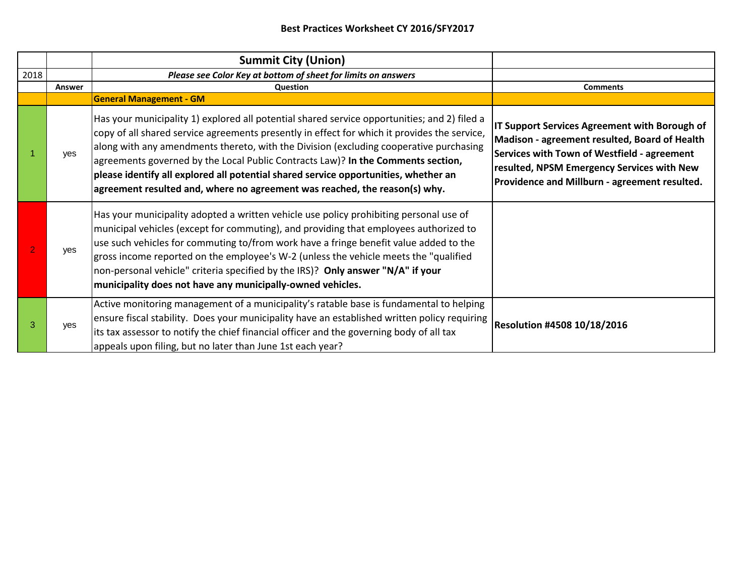|      |            | <b>Summit City (Union)</b>                                                                                                                                                                                                                                                                                                                                                                                                                                                                                                                      |                                                                                                                                                                                                                                              |
|------|------------|-------------------------------------------------------------------------------------------------------------------------------------------------------------------------------------------------------------------------------------------------------------------------------------------------------------------------------------------------------------------------------------------------------------------------------------------------------------------------------------------------------------------------------------------------|----------------------------------------------------------------------------------------------------------------------------------------------------------------------------------------------------------------------------------------------|
| 2018 |            | Please see Color Key at bottom of sheet for limits on answers                                                                                                                                                                                                                                                                                                                                                                                                                                                                                   |                                                                                                                                                                                                                                              |
|      | Answer     | Question                                                                                                                                                                                                                                                                                                                                                                                                                                                                                                                                        | <b>Comments</b>                                                                                                                                                                                                                              |
|      |            | <b>General Management - GM</b>                                                                                                                                                                                                                                                                                                                                                                                                                                                                                                                  |                                                                                                                                                                                                                                              |
|      | <b>ves</b> | Has your municipality 1) explored all potential shared service opportunities; and 2) filed a<br>copy of all shared service agreements presently in effect for which it provides the service,<br>along with any amendments thereto, with the Division (excluding cooperative purchasing<br>agreements governed by the Local Public Contracts Law)? In the Comments section,<br>please identify all explored all potential shared service opportunities, whether an<br>agreement resulted and, where no agreement was reached, the reason(s) why. | IT Support Services Agreement with Borough of<br>Madison - agreement resulted, Board of Health<br>Services with Town of Westfield - agreement<br>resulted, NPSM Emergency Services with New<br>Providence and Millburn - agreement resulted. |
|      | yes        | Has your municipality adopted a written vehicle use policy prohibiting personal use of<br>municipal vehicles (except for commuting), and providing that employees authorized to<br>use such vehicles for commuting to/from work have a fringe benefit value added to the<br>gross income reported on the employee's W-2 (unless the vehicle meets the "qualified"<br>non-personal vehicle" criteria specified by the IRS)? Only answer "N/A" if your<br>municipality does not have any municipally-owned vehicles.                              |                                                                                                                                                                                                                                              |
|      | <b>ves</b> | Active monitoring management of a municipality's ratable base is fundamental to helping<br>ensure fiscal stability. Does your municipality have an established written policy requiring<br>its tax assessor to notify the chief financial officer and the governing body of all tax<br>appeals upon filing, but no later than June 1st each year?                                                                                                                                                                                               | <b>Resolution #4508 10/18/2016</b>                                                                                                                                                                                                           |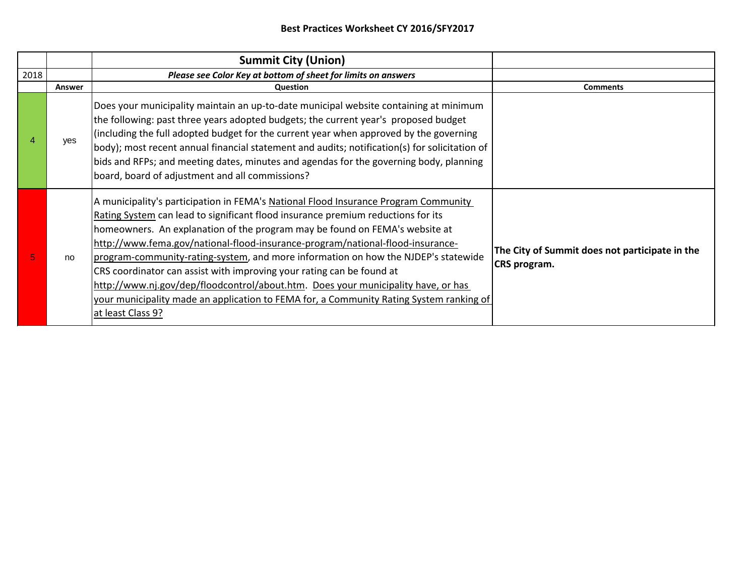|      |        | <b>Summit City (Union)</b>                                                                                                                                                                                                                                                                                                                                                                                                                                                                                                                                                                                                                                                                                   |                                                                |
|------|--------|--------------------------------------------------------------------------------------------------------------------------------------------------------------------------------------------------------------------------------------------------------------------------------------------------------------------------------------------------------------------------------------------------------------------------------------------------------------------------------------------------------------------------------------------------------------------------------------------------------------------------------------------------------------------------------------------------------------|----------------------------------------------------------------|
| 2018 |        | Please see Color Key at bottom of sheet for limits on answers                                                                                                                                                                                                                                                                                                                                                                                                                                                                                                                                                                                                                                                |                                                                |
|      | Answer | Question                                                                                                                                                                                                                                                                                                                                                                                                                                                                                                                                                                                                                                                                                                     | <b>Comments</b>                                                |
|      | ves    | Does your municipality maintain an up-to-date municipal website containing at minimum<br>the following: past three years adopted budgets; the current year's proposed budget<br>(including the full adopted budget for the current year when approved by the governing<br>body); most recent annual financial statement and audits; notification(s) for solicitation of<br>bids and RFPs; and meeting dates, minutes and agendas for the governing body, planning<br>board, board of adjustment and all commissions?                                                                                                                                                                                         |                                                                |
|      | no     | A municipality's participation in FEMA's National Flood Insurance Program Community<br>Rating System can lead to significant flood insurance premium reductions for its<br>homeowners. An explanation of the program may be found on FEMA's website at<br>http://www.fema.gov/national-flood-insurance-program/national-flood-insurance-<br>program-community-rating-system, and more information on how the NJDEP's statewide<br>CRS coordinator can assist with improving your rating can be found at<br>http://www.nj.gov/dep/floodcontrol/about.htm. Does your municipality have, or has<br>your municipality made an application to FEMA for, a Community Rating System ranking of<br>at least Class 9? | The City of Summit does not participate in the<br>CRS program. |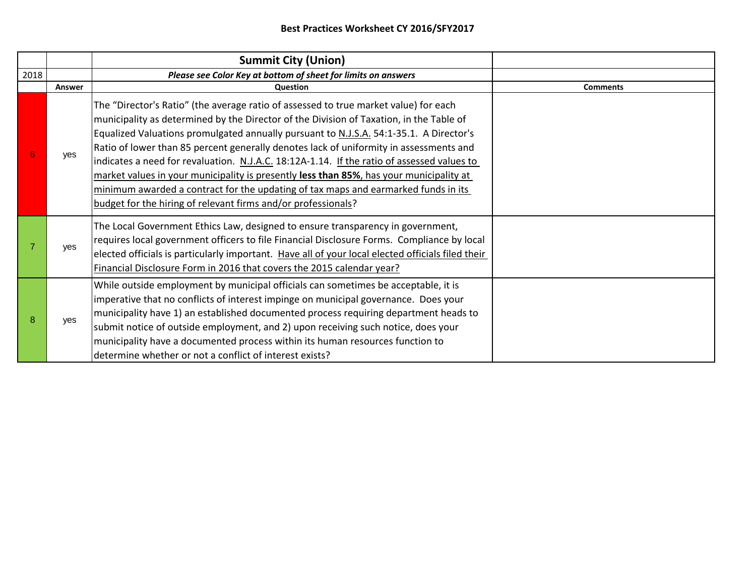|      |            | <b>Summit City (Union)</b>                                                                                                                                                                                                                                                                                                                                                                                                                                                                                                                                                                                                                                                                                          |                 |
|------|------------|---------------------------------------------------------------------------------------------------------------------------------------------------------------------------------------------------------------------------------------------------------------------------------------------------------------------------------------------------------------------------------------------------------------------------------------------------------------------------------------------------------------------------------------------------------------------------------------------------------------------------------------------------------------------------------------------------------------------|-----------------|
| 2018 |            | Please see Color Key at bottom of sheet for limits on answers                                                                                                                                                                                                                                                                                                                                                                                                                                                                                                                                                                                                                                                       |                 |
|      | Answer     | Question                                                                                                                                                                                                                                                                                                                                                                                                                                                                                                                                                                                                                                                                                                            | <b>Comments</b> |
| 6    | yes        | The "Director's Ratio" (the average ratio of assessed to true market value) for each<br>municipality as determined by the Director of the Division of Taxation, in the Table of<br>Equalized Valuations promulgated annually pursuant to N.J.S.A. 54:1-35.1. A Director's<br>Ratio of lower than 85 percent generally denotes lack of uniformity in assessments and<br>indicates a need for revaluation. N.J.A.C. 18:12A-1.14. If the ratio of assessed values to<br>market values in your municipality is presently less than 85%, has your municipality at<br>minimum awarded a contract for the updating of tax maps and earmarked funds in its<br>budget for the hiring of relevant firms and/or professionals? |                 |
|      | <b>ves</b> | The Local Government Ethics Law, designed to ensure transparency in government,<br>requires local government officers to file Financial Disclosure Forms. Compliance by local<br>elected officials is particularly important. Have all of your local elected officials filed their<br>Financial Disclosure Form in 2016 that covers the 2015 calendar year?                                                                                                                                                                                                                                                                                                                                                         |                 |
| 8    | <b>ves</b> | While outside employment by municipal officials can sometimes be acceptable, it is<br>imperative that no conflicts of interest impinge on municipal governance. Does your<br>municipality have 1) an established documented process requiring department heads to<br>submit notice of outside employment, and 2) upon receiving such notice, does your<br>municipality have a documented process within its human resources function to<br>determine whether or not a conflict of interest exists?                                                                                                                                                                                                                  |                 |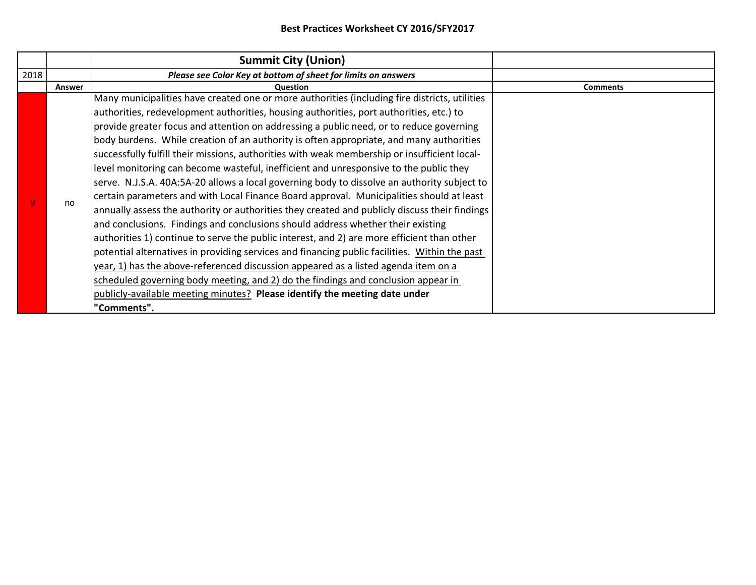|      |        | <b>Summit City (Union)</b>                                                                                                                                                                                                                                                                                                                                                                                                                                                                                                                                                                                                                                                                                                                                                                                                                                                                                                                             |                 |
|------|--------|--------------------------------------------------------------------------------------------------------------------------------------------------------------------------------------------------------------------------------------------------------------------------------------------------------------------------------------------------------------------------------------------------------------------------------------------------------------------------------------------------------------------------------------------------------------------------------------------------------------------------------------------------------------------------------------------------------------------------------------------------------------------------------------------------------------------------------------------------------------------------------------------------------------------------------------------------------|-----------------|
| 2018 |        | Please see Color Key at bottom of sheet for limits on answers                                                                                                                                                                                                                                                                                                                                                                                                                                                                                                                                                                                                                                                                                                                                                                                                                                                                                          |                 |
|      | Answer | Question                                                                                                                                                                                                                                                                                                                                                                                                                                                                                                                                                                                                                                                                                                                                                                                                                                                                                                                                               | <b>Comments</b> |
|      | no     | Many municipalities have created one or more authorities (including fire districts, utilities<br>authorities, redevelopment authorities, housing authorities, port authorities, etc.) to<br>provide greater focus and attention on addressing a public need, or to reduce governing<br>body burdens. While creation of an authority is often appropriate, and many authorities<br>successfully fulfill their missions, authorities with weak membership or insufficient local-<br>level monitoring can become wasteful, inefficient and unresponsive to the public they<br>serve. N.J.S.A. 40A:5A-20 allows a local governing body to dissolve an authority subject to<br>certain parameters and with Local Finance Board approval. Municipalities should at least<br>annually assess the authority or authorities they created and publicly discuss their findings<br>and conclusions. Findings and conclusions should address whether their existing |                 |
|      |        | authorities 1) continue to serve the public interest, and 2) are more efficient than other<br>potential alternatives in providing services and financing public facilities. Within the past<br>year, 1) has the above-referenced discussion appeared as a listed agenda item on a<br>scheduled governing body meeting, and 2) do the findings and conclusion appear in<br>publicly-available meeting minutes? Please identify the meeting date under<br>"Comments".                                                                                                                                                                                                                                                                                                                                                                                                                                                                                    |                 |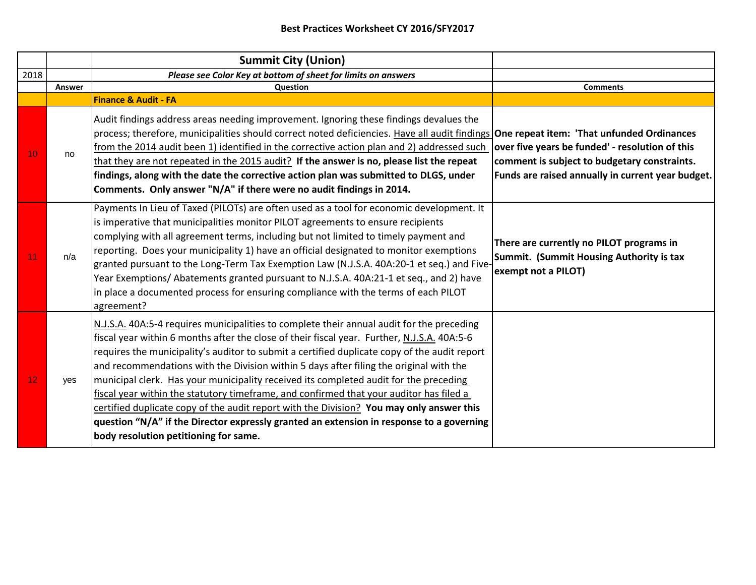|      |        | <b>Summit City (Union)</b>                                                                                                                                                                                                                                                                                                                                                                                                                                                                                                                                                                                                                                                                                                                                                                              |                                                                                                                                                      |
|------|--------|---------------------------------------------------------------------------------------------------------------------------------------------------------------------------------------------------------------------------------------------------------------------------------------------------------------------------------------------------------------------------------------------------------------------------------------------------------------------------------------------------------------------------------------------------------------------------------------------------------------------------------------------------------------------------------------------------------------------------------------------------------------------------------------------------------|------------------------------------------------------------------------------------------------------------------------------------------------------|
| 2018 |        | Please see Color Key at bottom of sheet for limits on answers                                                                                                                                                                                                                                                                                                                                                                                                                                                                                                                                                                                                                                                                                                                                           |                                                                                                                                                      |
|      | Answer | Question                                                                                                                                                                                                                                                                                                                                                                                                                                                                                                                                                                                                                                                                                                                                                                                                | <b>Comments</b>                                                                                                                                      |
|      |        | <b>Finance &amp; Audit - FA</b>                                                                                                                                                                                                                                                                                                                                                                                                                                                                                                                                                                                                                                                                                                                                                                         |                                                                                                                                                      |
| 10   | no     | Audit findings address areas needing improvement. Ignoring these findings devalues the<br>process; therefore, municipalities should correct noted deficiencies. Have all audit findings <b>One repeat item: 'That unfunded Ordinances</b><br>from the 2014 audit been 1) identified in the corrective action plan and 2) addressed such<br>that they are not repeated in the 2015 audit? If the answer is no, please list the repeat<br>findings, along with the date the corrective action plan was submitted to DLGS, under<br>Comments. Only answer "N/A" if there were no audit findings in 2014.                                                                                                                                                                                                   | over five years be funded' - resolution of this<br>comment is subject to budgetary constraints.<br>Funds are raised annually in current year budget. |
| 11   | n/a    | Payments In Lieu of Taxed (PILOTs) are often used as a tool for economic development. It<br>is imperative that municipalities monitor PILOT agreements to ensure recipients<br>complying with all agreement terms, including but not limited to timely payment and<br>reporting. Does your municipality 1) have an official designated to monitor exemptions<br>granted pursuant to the Long-Term Tax Exemption Law (N.J.S.A. 40A:20-1 et seq.) and Five-<br>Year Exemptions/Abatements granted pursuant to N.J.S.A. 40A:21-1 et seq., and 2) have<br>in place a documented process for ensuring compliance with the terms of each PILOT<br>agreement?                                                                                                                                                  | There are currently no PILOT programs in<br><b>Summit. (Summit Housing Authority is tax</b><br>exempt not a PILOT)                                   |
| 12   | yes    | N.J.S.A. 40A:5-4 requires municipalities to complete their annual audit for the preceding<br>fiscal year within 6 months after the close of their fiscal year. Further, N.J.S.A. 40A:5-6<br>requires the municipality's auditor to submit a certified duplicate copy of the audit report<br>and recommendations with the Division within 5 days after filing the original with the<br>municipal clerk. Has your municipality received its completed audit for the preceding<br>fiscal year within the statutory timeframe, and confirmed that your auditor has filed a<br>certified duplicate copy of the audit report with the Division? You may only answer this<br>question "N/A" if the Director expressly granted an extension in response to a governing<br>body resolution petitioning for same. |                                                                                                                                                      |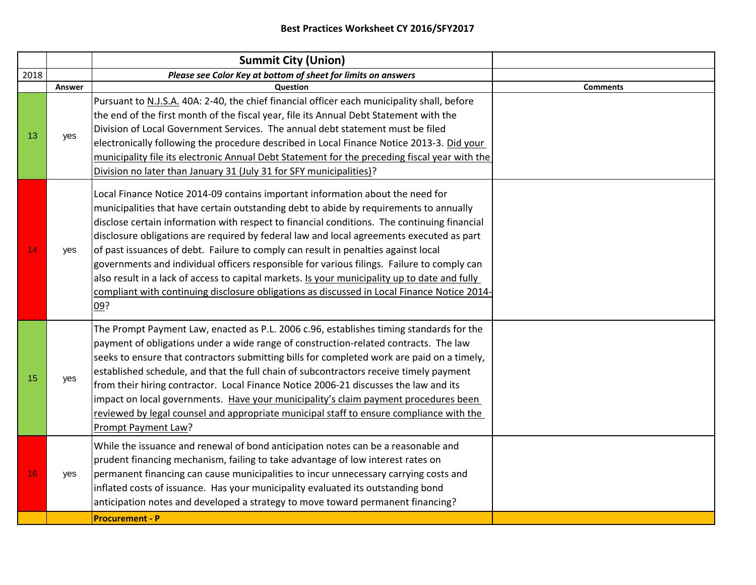| 2018<br>Please see Color Key at bottom of sheet for limits on answers<br>Question<br><b>Comments</b><br>Answer<br>Pursuant to N.J.S.A. 40A: 2-40, the chief financial officer each municipality shall, before<br>the end of the first month of the fiscal year, file its Annual Debt Statement with the<br>Division of Local Government Services. The annual debt statement must be filed<br>13<br>yes<br>electronically following the procedure described in Local Finance Notice 2013-3. Did your<br>municipality file its electronic Annual Debt Statement for the preceding fiscal year with the<br>Division no later than January 31 (July 31 for SFY municipalities)?<br>Local Finance Notice 2014-09 contains important information about the need for<br>municipalities that have certain outstanding debt to abide by requirements to annually<br>disclose certain information with respect to financial conditions. The continuing financial<br>disclosure obligations are required by federal law and local agreements executed as part<br>14<br>of past issuances of debt. Failure to comply can result in penalties against local<br>yes<br>governments and individual officers responsible for various filings. Failure to comply can<br>also result in a lack of access to capital markets. Is your municipality up to date and fully<br>compliant with continuing disclosure obligations as discussed in Local Finance Notice 2014-<br>09?<br>The Prompt Payment Law, enacted as P.L. 2006 c.96, establishes timing standards for the<br>payment of obligations under a wide range of construction-related contracts. The law<br>seeks to ensure that contractors submitting bills for completed work are paid on a timely,<br>established schedule, and that the full chain of subcontractors receive timely payment<br>15<br>yes<br>from their hiring contractor. Local Finance Notice 2006-21 discusses the law and its<br>impact on local governments. Have your municipality's claim payment procedures been<br>reviewed by legal counsel and appropriate municipal staff to ensure compliance with the<br>Prompt Payment Law?<br>While the issuance and renewal of bond anticipation notes can be a reasonable and<br>prudent financing mechanism, failing to take advantage of low interest rates on<br>permanent financing can cause municipalities to incur unnecessary carrying costs and<br>16<br>yes<br>inflated costs of issuance. Has your municipality evaluated its outstanding bond<br>anticipation notes and developed a strategy to move toward permanent financing? |  | <b>Summit City (Union)</b> |  |
|---------------------------------------------------------------------------------------------------------------------------------------------------------------------------------------------------------------------------------------------------------------------------------------------------------------------------------------------------------------------------------------------------------------------------------------------------------------------------------------------------------------------------------------------------------------------------------------------------------------------------------------------------------------------------------------------------------------------------------------------------------------------------------------------------------------------------------------------------------------------------------------------------------------------------------------------------------------------------------------------------------------------------------------------------------------------------------------------------------------------------------------------------------------------------------------------------------------------------------------------------------------------------------------------------------------------------------------------------------------------------------------------------------------------------------------------------------------------------------------------------------------------------------------------------------------------------------------------------------------------------------------------------------------------------------------------------------------------------------------------------------------------------------------------------------------------------------------------------------------------------------------------------------------------------------------------------------------------------------------------------------------------------------------------------------------------------------------------------------------------------------------------------------------------------------------------------------------------------------------------------------------------------------------------------------------------------------------------------------------------------------------------------------------------------------------------------------------------------------------------------------------------------------------------------------------------------------------------------------|--|----------------------------|--|
|                                                                                                                                                                                                                                                                                                                                                                                                                                                                                                                                                                                                                                                                                                                                                                                                                                                                                                                                                                                                                                                                                                                                                                                                                                                                                                                                                                                                                                                                                                                                                                                                                                                                                                                                                                                                                                                                                                                                                                                                                                                                                                                                                                                                                                                                                                                                                                                                                                                                                                                                                                                                         |  |                            |  |
|                                                                                                                                                                                                                                                                                                                                                                                                                                                                                                                                                                                                                                                                                                                                                                                                                                                                                                                                                                                                                                                                                                                                                                                                                                                                                                                                                                                                                                                                                                                                                                                                                                                                                                                                                                                                                                                                                                                                                                                                                                                                                                                                                                                                                                                                                                                                                                                                                                                                                                                                                                                                         |  |                            |  |
|                                                                                                                                                                                                                                                                                                                                                                                                                                                                                                                                                                                                                                                                                                                                                                                                                                                                                                                                                                                                                                                                                                                                                                                                                                                                                                                                                                                                                                                                                                                                                                                                                                                                                                                                                                                                                                                                                                                                                                                                                                                                                                                                                                                                                                                                                                                                                                                                                                                                                                                                                                                                         |  |                            |  |
|                                                                                                                                                                                                                                                                                                                                                                                                                                                                                                                                                                                                                                                                                                                                                                                                                                                                                                                                                                                                                                                                                                                                                                                                                                                                                                                                                                                                                                                                                                                                                                                                                                                                                                                                                                                                                                                                                                                                                                                                                                                                                                                                                                                                                                                                                                                                                                                                                                                                                                                                                                                                         |  |                            |  |
|                                                                                                                                                                                                                                                                                                                                                                                                                                                                                                                                                                                                                                                                                                                                                                                                                                                                                                                                                                                                                                                                                                                                                                                                                                                                                                                                                                                                                                                                                                                                                                                                                                                                                                                                                                                                                                                                                                                                                                                                                                                                                                                                                                                                                                                                                                                                                                                                                                                                                                                                                                                                         |  |                            |  |
| <b>Procurement - P</b>                                                                                                                                                                                                                                                                                                                                                                                                                                                                                                                                                                                                                                                                                                                                                                                                                                                                                                                                                                                                                                                                                                                                                                                                                                                                                                                                                                                                                                                                                                                                                                                                                                                                                                                                                                                                                                                                                                                                                                                                                                                                                                                                                                                                                                                                                                                                                                                                                                                                                                                                                                                  |  |                            |  |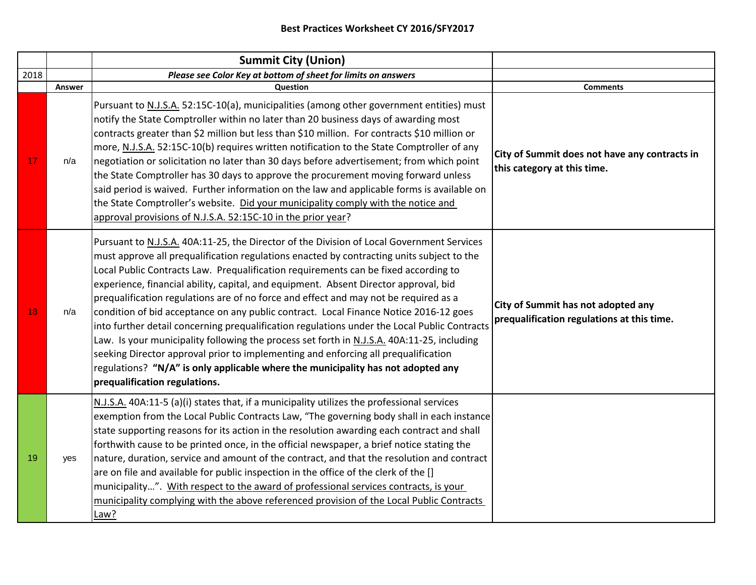|      |        | <b>Summit City (Union)</b>                                                                                                                                                                                                                                                                                                                                                                                                                                                                                                                                                                                                                                                                                                                                                                                                                                                                                                                                      |                                                                                  |
|------|--------|-----------------------------------------------------------------------------------------------------------------------------------------------------------------------------------------------------------------------------------------------------------------------------------------------------------------------------------------------------------------------------------------------------------------------------------------------------------------------------------------------------------------------------------------------------------------------------------------------------------------------------------------------------------------------------------------------------------------------------------------------------------------------------------------------------------------------------------------------------------------------------------------------------------------------------------------------------------------|----------------------------------------------------------------------------------|
| 2018 |        | Please see Color Key at bottom of sheet for limits on answers                                                                                                                                                                                                                                                                                                                                                                                                                                                                                                                                                                                                                                                                                                                                                                                                                                                                                                   |                                                                                  |
|      | Answer | Question                                                                                                                                                                                                                                                                                                                                                                                                                                                                                                                                                                                                                                                                                                                                                                                                                                                                                                                                                        | <b>Comments</b>                                                                  |
| 17   | n/a    | Pursuant to N.J.S.A. 52:15C-10(a), municipalities (among other government entities) must<br>notify the State Comptroller within no later than 20 business days of awarding most<br>contracts greater than \$2 million but less than \$10 million. For contracts \$10 million or<br>more, N.J.S.A. 52:15C-10(b) requires written notification to the State Comptroller of any<br>negotiation or solicitation no later than 30 days before advertisement; from which point<br>the State Comptroller has 30 days to approve the procurement moving forward unless<br>said period is waived. Further information on the law and applicable forms is available on<br>the State Comptroller's website. Did your municipality comply with the notice and<br>approval provisions of N.J.S.A. 52:15C-10 in the prior year?                                                                                                                                               | City of Summit does not have any contracts in<br>this category at this time.     |
| 18   | n/a    | Pursuant to N.J.S.A. 40A:11-25, the Director of the Division of Local Government Services<br>must approve all prequalification regulations enacted by contracting units subject to the<br>Local Public Contracts Law. Prequalification requirements can be fixed according to<br>experience, financial ability, capital, and equipment. Absent Director approval, bid<br>prequalification regulations are of no force and effect and may not be required as a<br>condition of bid acceptance on any public contract. Local Finance Notice 2016-12 goes<br>into further detail concerning prequalification regulations under the Local Public Contracts<br>Law. Is your municipality following the process set forth in N.J.S.A. 40A:11-25, including<br>seeking Director approval prior to implementing and enforcing all prequalification<br>regulations? "N/A" is only applicable where the municipality has not adopted any<br>prequalification regulations. | City of Summit has not adopted any<br>prequalification regulations at this time. |
| 19   | yes    | N.J.S.A. 40A:11-5 (a)(i) states that, if a municipality utilizes the professional services<br>exemption from the Local Public Contracts Law, "The governing body shall in each instance<br>state supporting reasons for its action in the resolution awarding each contract and shall<br>forthwith cause to be printed once, in the official newspaper, a brief notice stating the<br>nature, duration, service and amount of the contract, and that the resolution and contract<br>are on file and available for public inspection in the office of the clerk of the []<br>municipality". With respect to the award of professional services contracts, is your<br>municipality complying with the above referenced provision of the Local Public Contracts<br>Law?                                                                                                                                                                                            |                                                                                  |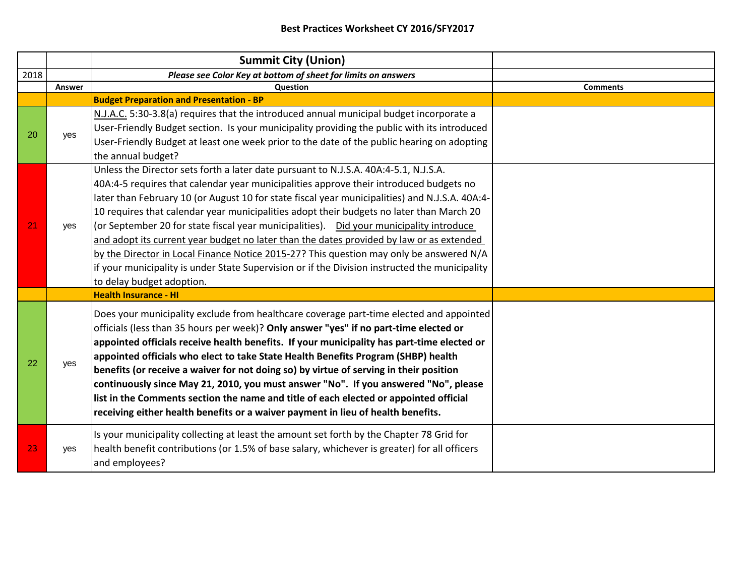|      |        | <b>Summit City (Union)</b>                                                                                                                                                                                                                                                                                                                                                                                                                                                                                                                                                                                                                                                                                                                                                                     |                 |
|------|--------|------------------------------------------------------------------------------------------------------------------------------------------------------------------------------------------------------------------------------------------------------------------------------------------------------------------------------------------------------------------------------------------------------------------------------------------------------------------------------------------------------------------------------------------------------------------------------------------------------------------------------------------------------------------------------------------------------------------------------------------------------------------------------------------------|-----------------|
| 2018 |        | Please see Color Key at bottom of sheet for limits on answers                                                                                                                                                                                                                                                                                                                                                                                                                                                                                                                                                                                                                                                                                                                                  |                 |
|      | Answer | Question                                                                                                                                                                                                                                                                                                                                                                                                                                                                                                                                                                                                                                                                                                                                                                                       | <b>Comments</b> |
|      |        | <b>Budget Preparation and Presentation - BP</b>                                                                                                                                                                                                                                                                                                                                                                                                                                                                                                                                                                                                                                                                                                                                                |                 |
| 20   | ves    | N.J.A.C. 5:30-3.8(a) requires that the introduced annual municipal budget incorporate a<br>User-Friendly Budget section. Is your municipality providing the public with its introduced<br>User-Friendly Budget at least one week prior to the date of the public hearing on adopting<br>the annual budget?                                                                                                                                                                                                                                                                                                                                                                                                                                                                                     |                 |
| 21   | yes    | Unless the Director sets forth a later date pursuant to N.J.S.A. 40A:4-5.1, N.J.S.A.<br>40A:4-5 requires that calendar year municipalities approve their introduced budgets no<br>later than February 10 (or August 10 for state fiscal year municipalities) and N.J.S.A. 40A:4-<br>10 requires that calendar year municipalities adopt their budgets no later than March 20<br>(or September 20 for state fiscal year municipalities).  Did your municipality introduce<br>and adopt its current year budget no later than the dates provided by law or as extended<br>by the Director in Local Finance Notice 2015-27? This question may only be answered N/A<br>if your municipality is under State Supervision or if the Division instructed the municipality<br>to delay budget adoption. |                 |
|      |        | <b>Health Insurance - HI</b>                                                                                                                                                                                                                                                                                                                                                                                                                                                                                                                                                                                                                                                                                                                                                                   |                 |
| 22   | yes    | Does your municipality exclude from healthcare coverage part-time elected and appointed<br>officials (less than 35 hours per week)? Only answer "yes" if no part-time elected or<br>appointed officials receive health benefits. If your municipality has part-time elected or<br>appointed officials who elect to take State Health Benefits Program (SHBP) health<br>benefits (or receive a waiver for not doing so) by virtue of serving in their position<br>continuously since May 21, 2010, you must answer "No". If you answered "No", please<br>list in the Comments section the name and title of each elected or appointed official<br>receiving either health benefits or a waiver payment in lieu of health benefits.                                                              |                 |
| 23   | yes    | Is your municipality collecting at least the amount set forth by the Chapter 78 Grid for<br>health benefit contributions (or 1.5% of base salary, whichever is greater) for all officers<br>and employees?                                                                                                                                                                                                                                                                                                                                                                                                                                                                                                                                                                                     |                 |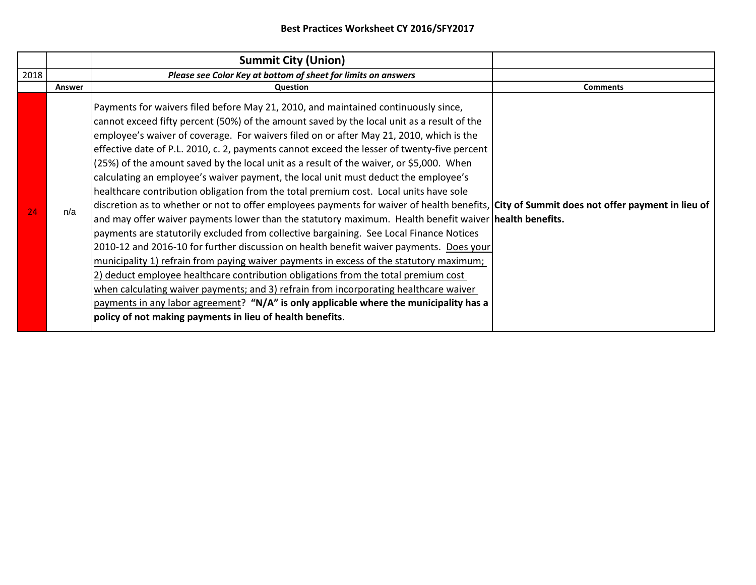|      |        | <b>Summit City (Union)</b>                                                                                                                                                                                                                                                                                                                                                                                                                                                                                                                                                                                                                                                                                                                                                                                                                                                                                                                                                                                                                                                                                                                                                                                                                                                                                                                                                                                                                                                                                                              |                 |
|------|--------|-----------------------------------------------------------------------------------------------------------------------------------------------------------------------------------------------------------------------------------------------------------------------------------------------------------------------------------------------------------------------------------------------------------------------------------------------------------------------------------------------------------------------------------------------------------------------------------------------------------------------------------------------------------------------------------------------------------------------------------------------------------------------------------------------------------------------------------------------------------------------------------------------------------------------------------------------------------------------------------------------------------------------------------------------------------------------------------------------------------------------------------------------------------------------------------------------------------------------------------------------------------------------------------------------------------------------------------------------------------------------------------------------------------------------------------------------------------------------------------------------------------------------------------------|-----------------|
| 2018 |        | Please see Color Key at bottom of sheet for limits on answers                                                                                                                                                                                                                                                                                                                                                                                                                                                                                                                                                                                                                                                                                                                                                                                                                                                                                                                                                                                                                                                                                                                                                                                                                                                                                                                                                                                                                                                                           |                 |
|      | Answer | <b>Question</b>                                                                                                                                                                                                                                                                                                                                                                                                                                                                                                                                                                                                                                                                                                                                                                                                                                                                                                                                                                                                                                                                                                                                                                                                                                                                                                                                                                                                                                                                                                                         | <b>Comments</b> |
| 24   | n/a    | Payments for waivers filed before May 21, 2010, and maintained continuously since,<br>cannot exceed fifty percent (50%) of the amount saved by the local unit as a result of the<br>employee's waiver of coverage. For waivers filed on or after May 21, 2010, which is the<br>effective date of P.L. 2010, c. 2, payments cannot exceed the lesser of twenty-five percent  <br>(25%) of the amount saved by the local unit as a result of the waiver, or \$5,000. When<br>calculating an employee's waiver payment, the local unit must deduct the employee's<br>healthcare contribution obligation from the total premium cost. Local units have sole<br>discretion as to whether or not to offer employees payments for waiver of health benefits, City of Summit does not offer payment in lieu of<br>and may offer waiver payments lower than the statutory maximum. Health benefit waiver health benefits.<br>payments are statutorily excluded from collective bargaining. See Local Finance Notices<br>2010-12 and 2016-10 for further discussion on health benefit waiver payments. Does your<br>municipality 1) refrain from paying waiver payments in excess of the statutory maximum;<br>2) deduct employee healthcare contribution obligations from the total premium cost<br>when calculating waiver payments; and 3) refrain from incorporating healthcare waiver<br>payments in any labor agreement? "N/A" is only applicable where the municipality has a<br>policy of not making payments in lieu of health benefits. |                 |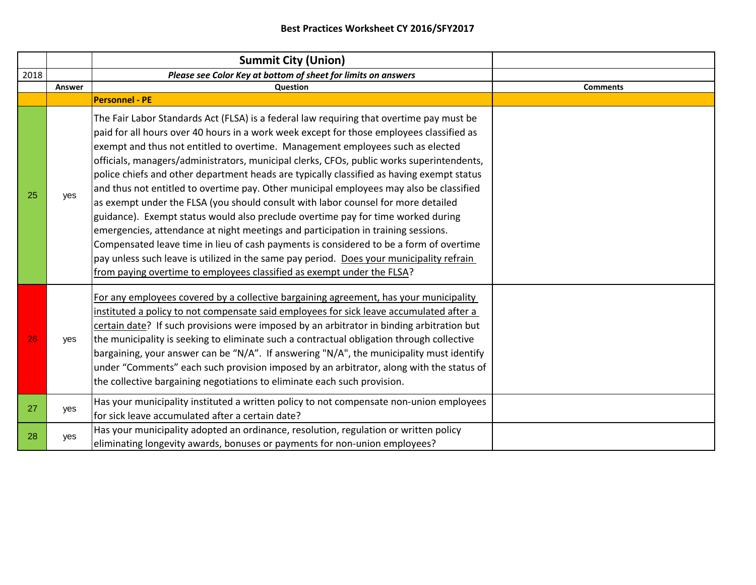|      |        | <b>Summit City (Union)</b>                                                                                                                                                                                                                                                                                                                                                                                                                                                                                                                                                                                                                                                                                                                                                                                                                                                                                                                                                                                                                                                                |                 |
|------|--------|-------------------------------------------------------------------------------------------------------------------------------------------------------------------------------------------------------------------------------------------------------------------------------------------------------------------------------------------------------------------------------------------------------------------------------------------------------------------------------------------------------------------------------------------------------------------------------------------------------------------------------------------------------------------------------------------------------------------------------------------------------------------------------------------------------------------------------------------------------------------------------------------------------------------------------------------------------------------------------------------------------------------------------------------------------------------------------------------|-----------------|
| 2018 |        | Please see Color Key at bottom of sheet for limits on answers                                                                                                                                                                                                                                                                                                                                                                                                                                                                                                                                                                                                                                                                                                                                                                                                                                                                                                                                                                                                                             |                 |
|      | Answer | Question                                                                                                                                                                                                                                                                                                                                                                                                                                                                                                                                                                                                                                                                                                                                                                                                                                                                                                                                                                                                                                                                                  | <b>Comments</b> |
|      |        | <b>Personnel - PE</b>                                                                                                                                                                                                                                                                                                                                                                                                                                                                                                                                                                                                                                                                                                                                                                                                                                                                                                                                                                                                                                                                     |                 |
| 25   | yes    | The Fair Labor Standards Act (FLSA) is a federal law requiring that overtime pay must be<br>paid for all hours over 40 hours in a work week except for those employees classified as<br>exempt and thus not entitled to overtime. Management employees such as elected<br>officials, managers/administrators, municipal clerks, CFOs, public works superintendents,<br>police chiefs and other department heads are typically classified as having exempt status<br>and thus not entitled to overtime pay. Other municipal employees may also be classified<br>as exempt under the FLSA (you should consult with labor counsel for more detailed<br>guidance). Exempt status would also preclude overtime pay for time worked during<br>emergencies, attendance at night meetings and participation in training sessions.<br>Compensated leave time in lieu of cash payments is considered to be a form of overtime<br>pay unless such leave is utilized in the same pay period. Does your municipality refrain<br>from paying overtime to employees classified as exempt under the FLSA? |                 |
| 26   | yes    | For any employees covered by a collective bargaining agreement, has your municipality<br>instituted a policy to not compensate said employees for sick leave accumulated after a<br>certain date? If such provisions were imposed by an arbitrator in binding arbitration but<br>the municipality is seeking to eliminate such a contractual obligation through collective<br>bargaining, your answer can be "N/A". If answering "N/A", the municipality must identify<br>under "Comments" each such provision imposed by an arbitrator, along with the status of<br>the collective bargaining negotiations to eliminate each such provision.                                                                                                                                                                                                                                                                                                                                                                                                                                             |                 |
| 27   | ves    | Has your municipality instituted a written policy to not compensate non-union employees<br>for sick leave accumulated after a certain date?                                                                                                                                                                                                                                                                                                                                                                                                                                                                                                                                                                                                                                                                                                                                                                                                                                                                                                                                               |                 |
| 28   | yes    | Has your municipality adopted an ordinance, resolution, regulation or written policy<br>eliminating longevity awards, bonuses or payments for non-union employees?                                                                                                                                                                                                                                                                                                                                                                                                                                                                                                                                                                                                                                                                                                                                                                                                                                                                                                                        |                 |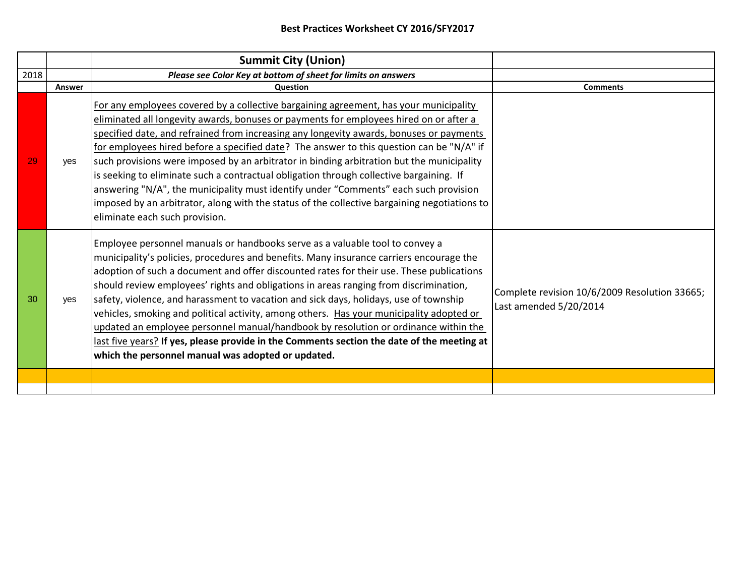|      |            | <b>Summit City (Union)</b>                                                                                                                                                                                                                                                                                                                                                                                                                                                                                                                                                                                                                                                                                                                                                                   |                                                                         |
|------|------------|----------------------------------------------------------------------------------------------------------------------------------------------------------------------------------------------------------------------------------------------------------------------------------------------------------------------------------------------------------------------------------------------------------------------------------------------------------------------------------------------------------------------------------------------------------------------------------------------------------------------------------------------------------------------------------------------------------------------------------------------------------------------------------------------|-------------------------------------------------------------------------|
| 2018 |            | Please see Color Key at bottom of sheet for limits on answers                                                                                                                                                                                                                                                                                                                                                                                                                                                                                                                                                                                                                                                                                                                                |                                                                         |
|      | Answer     | Question                                                                                                                                                                                                                                                                                                                                                                                                                                                                                                                                                                                                                                                                                                                                                                                     | <b>Comments</b>                                                         |
| 29   | <b>ves</b> | For any employees covered by a collective bargaining agreement, has your municipality<br>eliminated all longevity awards, bonuses or payments for employees hired on or after a<br>specified date, and refrained from increasing any longevity awards, bonuses or payments<br>for employees hired before a specified date? The answer to this question can be "N/A" if<br>such provisions were imposed by an arbitrator in binding arbitration but the municipality<br>is seeking to eliminate such a contractual obligation through collective bargaining. If<br>answering "N/A", the municipality must identify under "Comments" each such provision<br>imposed by an arbitrator, along with the status of the collective bargaining negotiations to<br>eliminate each such provision.     |                                                                         |
| 30   | <b>ves</b> | Employee personnel manuals or handbooks serve as a valuable tool to convey a<br>municipality's policies, procedures and benefits. Many insurance carriers encourage the<br>adoption of such a document and offer discounted rates for their use. These publications<br>should review employees' rights and obligations in areas ranging from discrimination,<br>safety, violence, and harassment to vacation and sick days, holidays, use of township<br>vehicles, smoking and political activity, among others. Has your municipality adopted or<br>updated an employee personnel manual/handbook by resolution or ordinance within the<br>last five years? If yes, please provide in the Comments section the date of the meeting at<br>which the personnel manual was adopted or updated. | Complete revision 10/6/2009 Resolution 33665;<br>Last amended 5/20/2014 |
|      |            |                                                                                                                                                                                                                                                                                                                                                                                                                                                                                                                                                                                                                                                                                                                                                                                              |                                                                         |
|      |            |                                                                                                                                                                                                                                                                                                                                                                                                                                                                                                                                                                                                                                                                                                                                                                                              |                                                                         |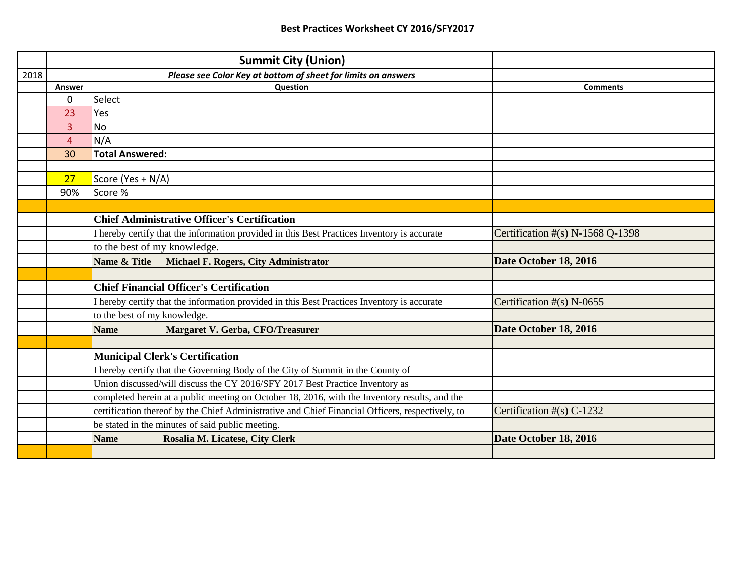|      |                | <b>Summit City (Union)</b>                                                                       |                                  |
|------|----------------|--------------------------------------------------------------------------------------------------|----------------------------------|
| 2018 |                | Please see Color Key at bottom of sheet for limits on answers                                    |                                  |
|      | Answer         | <b>Question</b>                                                                                  | <b>Comments</b>                  |
|      | 0              | Select                                                                                           |                                  |
|      | 23             | Yes                                                                                              |                                  |
|      | 3              | <b>No</b>                                                                                        |                                  |
|      | $\overline{4}$ | N/A                                                                                              |                                  |
|      | 30             | <b>Total Answered:</b>                                                                           |                                  |
|      |                |                                                                                                  |                                  |
|      | 27             | Score (Yes + N/A)                                                                                |                                  |
|      | 90%            | Score %                                                                                          |                                  |
|      |                |                                                                                                  |                                  |
|      |                | <b>Chief Administrative Officer's Certification</b>                                              |                                  |
|      |                | I hereby certify that the information provided in this Best Practices Inventory is accurate      | Certification #(s) N-1568 Q-1398 |
|      |                | to the best of my knowledge.                                                                     |                                  |
|      |                | Name & Title<br><b>Michael F. Rogers, City Administrator</b>                                     | Date October 18, 2016            |
|      |                |                                                                                                  |                                  |
|      |                | <b>Chief Financial Officer's Certification</b>                                                   |                                  |
|      |                | I hereby certify that the information provided in this Best Practices Inventory is accurate      | Certification $#(s)$ N-0655      |
|      |                | to the best of my knowledge.                                                                     |                                  |
|      |                | <b>Name</b><br>Margaret V. Gerba, CFO/Treasurer                                                  | Date October 18, 2016            |
|      |                |                                                                                                  |                                  |
|      |                | <b>Municipal Clerk's Certification</b>                                                           |                                  |
|      |                | I hereby certify that the Governing Body of the City of Summit in the County of                  |                                  |
|      |                | Union discussed/will discuss the CY 2016/SFY 2017 Best Practice Inventory as                     |                                  |
|      |                | completed herein at a public meeting on October 18, 2016, with the Inventory results, and the    |                                  |
|      |                | certification thereof by the Chief Administrative and Chief Financial Officers, respectively, to | Certification #(s) C-1232        |
|      |                | be stated in the minutes of said public meeting.                                                 |                                  |
|      |                | Rosalia M. Licatese, City Clerk<br><b>Name</b>                                                   | Date October 18, 2016            |
|      |                |                                                                                                  |                                  |